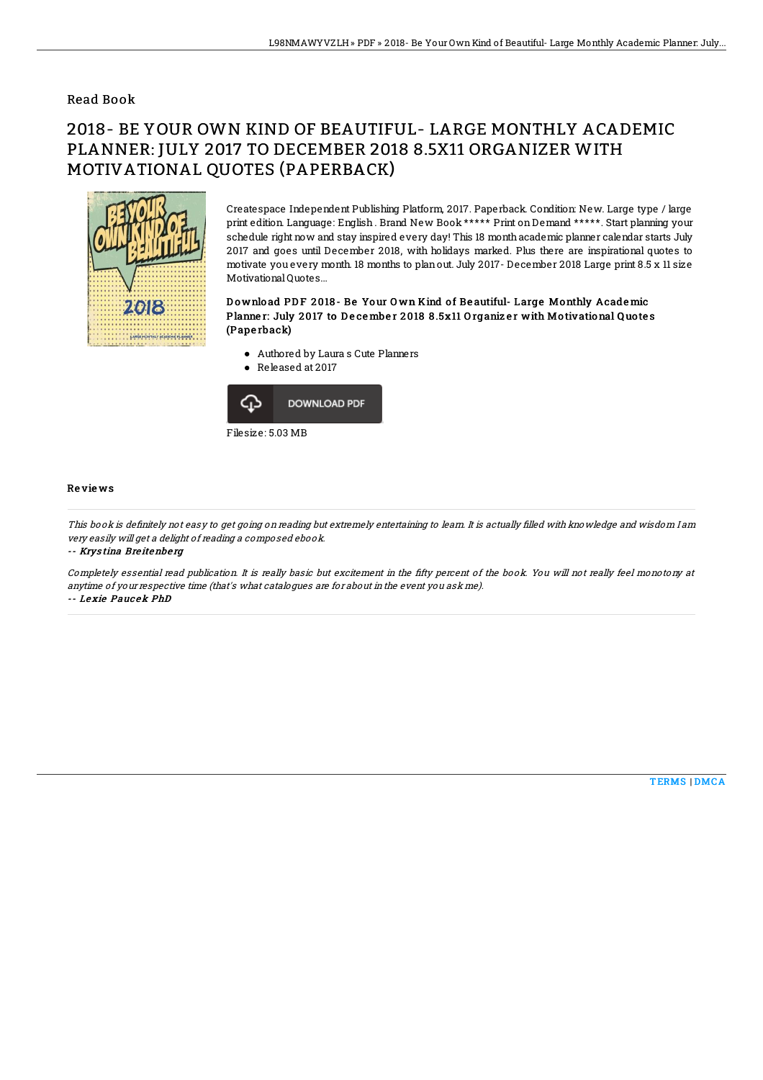### Read Book

# 2018- BE YOUR OWN KIND OF BEAUTIFUL- LARGE MONTHLY ACADEMIC PLANNER: JULY 2017 TO DECEMBER 2018 8.5X11 ORGANIZER WITH MOTIVATIONAL QUOTES (PAPERBACK)



Createspace Independent Publishing Platform, 2017. Paperback. Condition: New. Large type / large print edition. Language: English . Brand New Book \*\*\*\*\* Print onDemand \*\*\*\*\*. Start planning your schedule right now and stay inspired every day! This 18 monthacademic planner calendar starts July 2017 and goes until December 2018, with holidays marked. Plus there are inspirational quotes to motivate you every month. 18 months to planout. July 2017- December 2018 Large print 8.5 x 11 size Motivational Quotes...

#### Download PDF 2018- Be Your Own Kind of Beautiful-Large Monthly Academic Planner: July 2017 to December 2018 8.5x11 Organizer with Motivational Quotes (Pape rback)

- Authored by Laura s Cute Planners
- Released at 2017



#### Re vie ws

This book is definitely not easy to get going on reading but extremely entertaining to learn. It is actually filled with knowledge and wisdom I am very easily will get <sup>a</sup> delight of reading <sup>a</sup> composed ebook.

-- Krystina Breitenberg

Completely essential read publication. It is really basic but excitement in the fifty percent of the book. You will not really feel monotony at anytime of your respective time (that's what catalogues are for about in the event you ask me). -- Le xie Pauc ek PhD